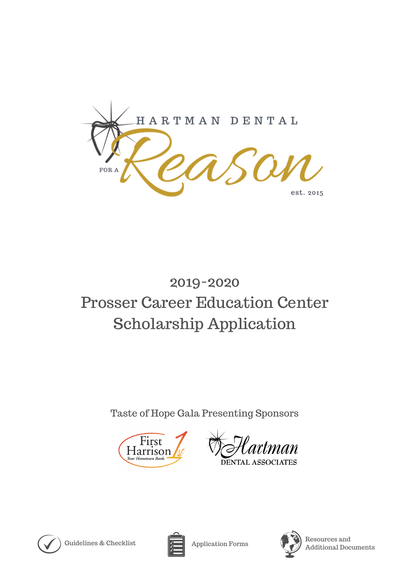

# 2019-2020 Prosser Career Education Center Scholarship Application

Taste of Hope Gala Presenting Sponsors



man DENTAL ASSOCIATES



Guidelines & Checklist  $\sqrt{\phantom{a}}\phantom{a}$  Application Forms





Resources and Additional Documents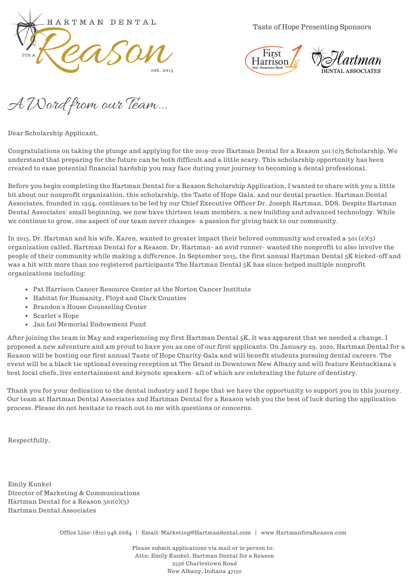

Taste of Hope Presenting Sponsors



A Word from our Team...

Dear Scholarship Applicant,

Congratulations on taking the plunge and applying for the 2019-2020 Hartman Dental for a Reason 501 (c)3 Scholarship. We understand that preparing for the future can be both difficult and a little scary. This scholarship opportunity has been created to ease potential financial hardship you may face during your journey to becoming a dental professional.

Before you begin completing the Hartman Dental for a Reason Scholarship Application, I wanted to share with you a little bit about our nonprofit organization, this scholarship, the Taste of Hope Gala, and our dental practice. Hartman Dental Associates, founded in 1994, continues to be led by our Chief Executive Officer Dr. Joseph Hartman, DDS. Despite Hartman Dental Associates' small beginning, we now have thirteen team members, a new building and advanced technology. While we continue to grow, one aspect of our team never changes- a passion for giving back to our community.

In 2015, Dr. Hartman and his wife, Karen, wanted to greater impact their beloved community and created a 501 (c)(3) organization called, Hartman Dental for a Reason. Dr. Hartman- an avid runner- wanted the nonprofit to also involve the people of their community while making a difference. In September 2015, the first annual Hartman Dental 5K kicked-off and was a hit with more than 200 registered participants The Hartman Dental 5K has since helped multiple nonprofit organizations including:

- Pat Harrison Cancer Resource Center at the Norton Cancer Institute
- Habitat for Humanity, Floyd and Clark Counties
- Brandon's House Counseling Center
- Scarlet's Hope
- Jan Loi Memorial Endowment Fund

After joining the team in May and experiencing my first Hartman Dental 5K, it was apparent that we needed a change. I proposed a new adventure and am proud to have you as one of our first applicants. On January 29, 2020, Hartman Dental for a Reason will be hosting our first annual Taste of Hope Charity Gala and will benefit students pursuing dental careers. The event will be a black tie optional evening reception at The Grand in Downtown New Albany and will feature Kentuckiana's best local chefs, live entertainment and keynote speakers- all of which are celebrating the future of dentistry.

Thank you for your dedication to the dental industry and I hope that we have the opportunity to support you in this journey. Our team at Hartman Dental Associates and Hartman Dental for a Reason wish you the best of luck during the application process. Please do not hesitate to reach out to me with questions or concerns.

Respectfully,

Emily Kunkel Director of Marketing & Communications Hartman Dental for a Reason 501(c)(3) Hartman Dental Associates

Office Line: (812) 948.6684 | Email: Marketing@Hartmandental.com | www.HartmanforaReason.com

Please submit applications via mail or in person to: Attn: Emily Kunkel, Hartman Dental for a Reason 2536 Charlestown Road New Albany, Indiana 47150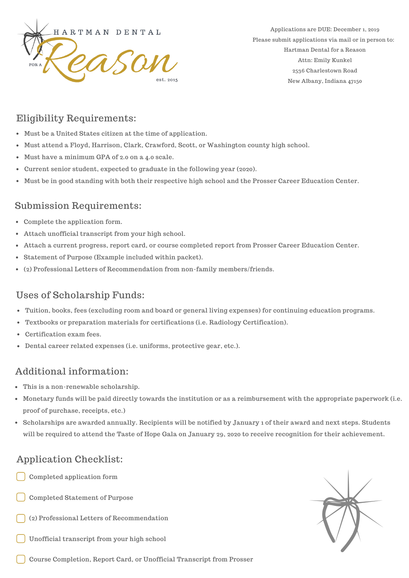

Applications are DUE: December 1, 2019 Please submit applications via mail or in person to: Hartman Dental for a Reason Attn: Emily Kunkel 2536 Charlestown Road New Albany, Indiana 47150

## Eligibility Requirements:

- Must be a United States citizen at the time of application.
- Must attend a Floyd, Harrison, Clark, Crawford, Scott, or Washington county high school.
- Must have a minimum GPA of 2.0 on a 4.0 scale.
- Current senior student, expected to graduate in the following year (2020).
- Must be in good standing with both their respective high school and the Prosser Career Education Center.

### Submission Requirements:

- Complete the application form.
- Attach unofficial transcript from your high school.
- Attach a current progress, report card, or course completed report from Prosser Career Education Center.
- Statement of Purpose (Example included within packet).
- (2) Professional Letters of Recommendation from non-family members/friends.

## Uses of Scholarship Funds:

- Tuition, books, fees (excluding room and board or general living expenses) for continuing education programs.
- Textbooks or preparation materials for certifications (i.e. Radiology Certification).
- Certification exam fees.
- Dental career related expenses (i.e. uniforms, protective gear, etc.).

# Additional information:

- This is a non-renewable scholarship.
- Monetary funds will be paid directly towards the institution or as a reimbursement with the appropriate paperwork (i.e. proof of purchase, receipts, etc.)
- Scholarships are awarded annually. Recipients will be notified by January 1 of their award and next steps. Students will be required to attend the Taste of Hope Gala on January 29, 2020 to receive recognition for their achievement.

# Application Checklist:

- Completed application form
- Completed Statement of Purpose
- (2) Professional Letters of Recommendation
- Unofficial transcript from your high school



Course Completion, Report Card, or Unofficial Transcript from Prosser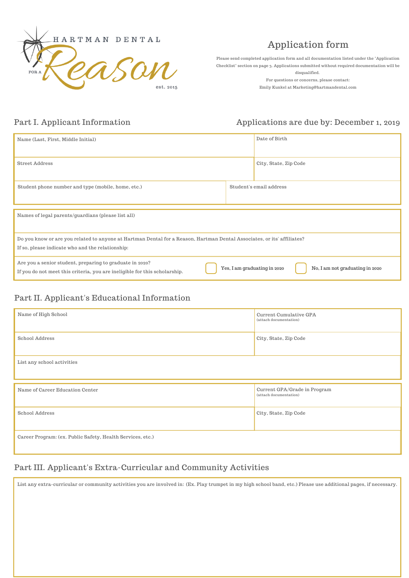

# Application form

Please send completed application form and all documentation listed under the "Application Checklist" section on page 3. Applications submitted without required documentation will be disqualified.

For questions or concerns, please contact: Emily Kunkel at Marketing@hartmandental.com

#### Part I. Applicant Information

#### Applications are due by: December 1, 2019

| Name (Last, First, Middle Initial)                                                                                                                                          |  | Date of Birth                                                   |  |
|-----------------------------------------------------------------------------------------------------------------------------------------------------------------------------|--|-----------------------------------------------------------------|--|
| <b>Street Address</b>                                                                                                                                                       |  | City, State, Zip Code                                           |  |
| Student phone number and type (mobile, home, etc.)                                                                                                                          |  | Student's email address                                         |  |
| Names of legal parents/guardians (please list all)                                                                                                                          |  |                                                                 |  |
| Do you know or are you related to anyone at Hartman Dental for a Reason, Hartman Dental Associates, or its' affiliates?<br>If so, please indicate who and the relationship: |  |                                                                 |  |
| Are you a senior student, preparing to graduate in 2020?<br>If you do not meet this criteria, you are ineligible for this scholarship.                                      |  | Yes, I am graduating in 2020<br>No, I am not graduating in 2020 |  |

#### Part II. Applicant's Educational Information

| Name of High School                                        | Current Cumulative GPA<br>(attach documentation)       |  |
|------------------------------------------------------------|--------------------------------------------------------|--|
| School Address                                             | City, State, Zip Code                                  |  |
| List any school activities                                 |                                                        |  |
| Name of Career Education Center                            | Current GPA/Grade in Program<br>(attach documentation) |  |
| School Address                                             | City, State, Zip Code                                  |  |
| Career Program: (ex. Public Safety, Health Services, etc.) |                                                        |  |

#### Part III. Applicant's Extra-Curricular and Community Activities

List any extra-curricular or community activities you are involved in: (Ex. Play trumpet in my high school band, etc.) Please use additional pages, if necessary.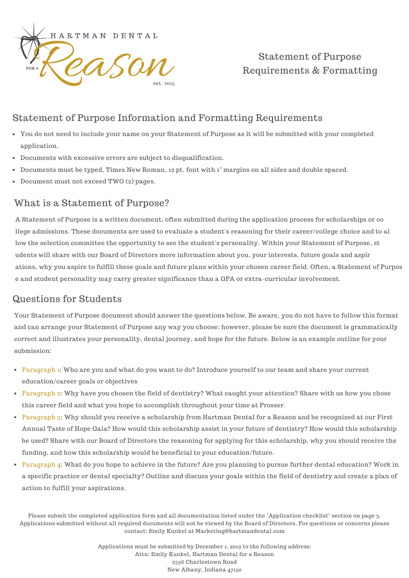

# Statement of Purpose Requirements & Formatting

# Statement of Purpose Information and Formatting Requirements

- You do not need to include your name on your Statement of Purpose as it will be submitted with your completed application.
- Documents with excessive errors are subject to disqualification.
- Documents must be typed, Times New Roman, 12 pt. font with 1" margins on all sides and double spaced.
- Document must not exceed TWO (2) pages.

#### What is a Statement of Purpose?

A Statement of Purpose is a written document, often submitted during the application process for scholarships or co llege admissions. These documents are used to evaluate a student's reasoning for their career/college choice and to al low the selection committee the opportunity to see the student's personality. Within your Statement of Purpose, st udents will share with our Board of Directors more information about you, your interests, future goals and aspir ations, why you aspire to fulfill these goals and future plans within your chosen career field. Often, a Statement of Purpos e and student personality may carry greater significance than a GPA or extra-curricular involvement.

#### Questions for Students

Your Statement of Purpose document should answer the questions below. Be aware, you do not have to follow this format and can arrange your Statement of Purpose any way you choose; however, please be sure the document is grammatically correct and illustrates your personality, dental journey, and hope for the future. Below is an example outline for your submission:

- Paragraph 1: Who are you and what do you want to do? Introduce yourself to our team and share your current education/career goals or objectives
- Paragraph 2: Why have you chosen the field of dentistry? What caught your attention? Share with us how you chose this career field and what you hope to accomplish throughout your time at Prosser.
- Paragraph 3: Why should you receive a scholarship from Hartman Dental for a Reason and be recognized at our First Annual Taste of Hope Gala? How would this scholarship assist in your future of dentistry? How would this scholarship be used? Share with our Board of Directors the reasoning for applying for this scholarship, why you should receive the funding, and how this scholarship would be beneficial to your education/future.
- Paragraph 4: What do you hope to achieve in the future? Are you planning to pursue further dental education? Work in a specific practice or dental specialty? Outline and discuss your goals within the field of dentistry and create a plan of action to fulfill your aspirations.

Please submit the completed application form and all documentation listed under the "Application checklist" section on page 3. Applications submitted without all required documents will not be viewed by the Board of Directors. For questions or concerns please contact: Emily Kunkel at Marketing@hartmandental.com